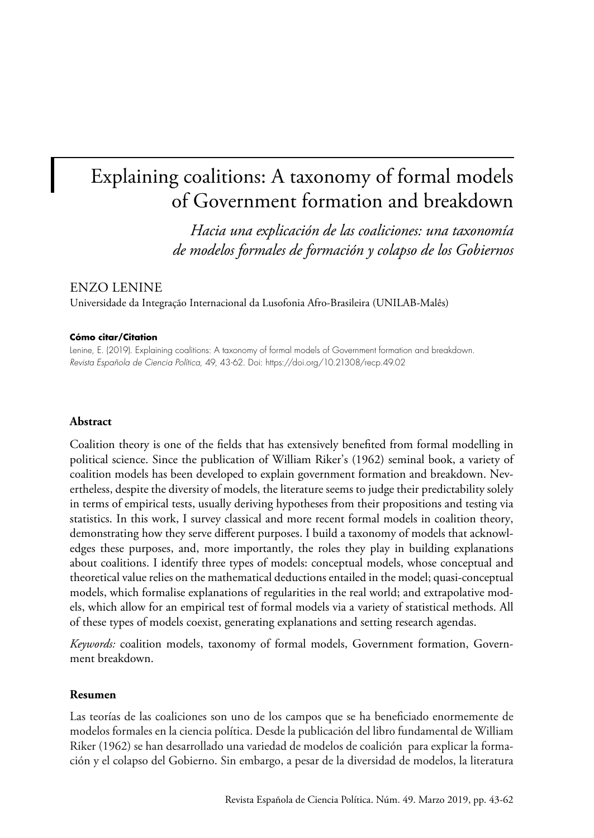# Explaining coalitions: A taxonomy of formal models of Government formation and breakdown

*Hacia una explicación de las coaliciones: una taxonomía de modelos formales de formación y colapso de los Gobiernos*

# ENZO LENINE

Universidade da Integração Internacional da Lusofonia Afro-Brasileira (UNILAB-Malês)

#### **Cómo citar/Citation**

Lenine, E. (2019). Explaining coalitions: A taxonomy of formal models of Government formation and breakdown. *Revista Española de Ciencia Política*, 49, 43-62. Doi: <https://doi.org/10.21308/recp.49.02>

## **Abstract**

Coalition theory is one of the fields that has extensively benefited from formal modelling in political science. Since the publication of William Riker's (1962) seminal book, a variety of coalition models has been developed to explain government formation and breakdown. Nevertheless, despite the diversity of models, the literature seems to judge their predictability solely in terms of empirical tests, usually deriving hypotheses from their propositions and testing via statistics. In this work, I survey classical and more recent formal models in coalition theory, demonstrating how they serve different purposes. I build a taxonomy of models that acknowledges these purposes, and, more importantly, the roles they play in building explanations about coalitions. I identify three types of models: conceptual models, whose conceptual and theoretical value relies on the mathematical deductions entailed in the model; quasi-conceptual models, which formalise explanations of regularities in the real world; and extrapolative models, which allow for an empirical test of formal models via a variety of statistical methods. All of these types of models coexist, generating explanations and setting research agendas.

*Keywords:* coalition models, taxonomy of formal models, Government formation, Government breakdown.

#### **Resumen**

Las teorías de las coaliciones son uno de los campos que se ha beneficiado enormemente de modelos formales en la ciencia política. Desde la publicación del libro fundamental de William Riker (1962) se han desarrollado una variedad de modelos de coalición para explicar la formación y el colapso del Gobierno. Sin embargo, a pesar de la diversidad de modelos, la literatura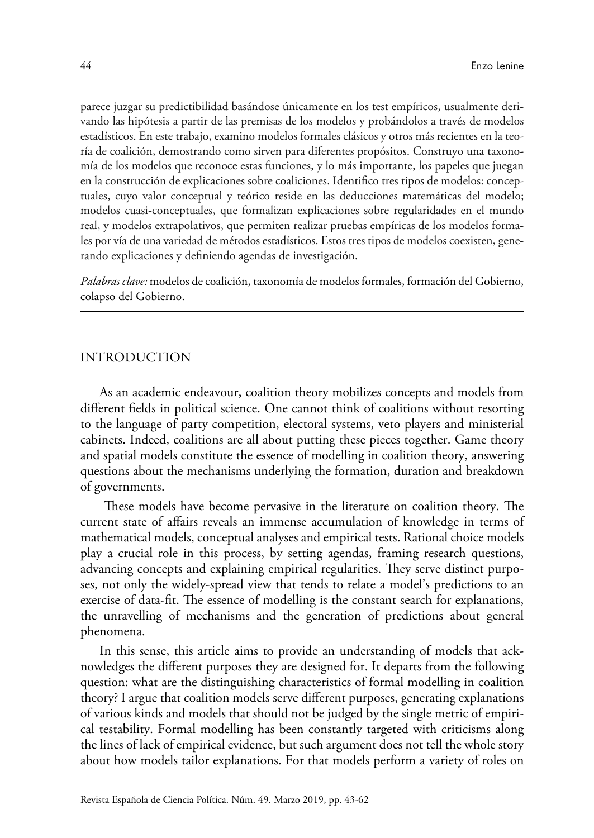parece juzgar su predictibilidad basándose únicamente en los test empíricos, usualmente derivando las hipótesis a partir de las premisas de los modelos y probándolos a través de modelos estadísticos. En este trabajo, examino modelos formales clásicos y otros más recientes en la teoría de coalición, demostrando como sirven para diferentes propósitos. Construyo una taxonomía de los modelos que reconoce estas funciones, y lo más importante, los papeles que juegan en la construcción de explicaciones sobre coaliciones. Identifico tres tipos de modelos: conceptuales, cuyo valor conceptual y teórico reside en las deducciones matemáticas del modelo; modelos cuasi-conceptuales, que formalizan explicaciones sobre regularidades en el mundo real, y modelos extrapolativos, que permiten realizar pruebas empíricas de los modelos formales por vía de una variedad de métodos estadísticos. Estos tres tipos de modelos coexisten, generando explicaciones y definiendo agendas de investigación.

*Palabras clave:* modelos de coalición, taxonomía de modelos formales, formación del Gobierno, colapso del Gobierno.

## INTRODUCTION

As an academic endeavour, coalition theory mobilizes concepts and models from different fields in political science. One cannot think of coalitions without resorting to the language of party competition, electoral systems, veto players and ministerial cabinets. Indeed, coalitions are all about putting these pieces together. Game theory and spatial models constitute the essence of modelling in coalition theory, answering questions about the mechanisms underlying the formation, duration and breakdown of governments.

 These models have become pervasive in the literature on coalition theory. The current state of affairs reveals an immense accumulation of knowledge in terms of mathematical models, conceptual analyses and empirical tests. Rational choice models play a crucial role in this process, by setting agendas, framing research questions, advancing concepts and explaining empirical regularities. They serve distinct purposes, not only the widely-spread view that tends to relate a model's predictions to an exercise of data-fit. The essence of modelling is the constant search for explanations, the unravelling of mechanisms and the generation of predictions about general phenomena.

In this sense, this article aims to provide an understanding of models that acknowledges the different purposes they are designed for. It departs from the following question: what are the distinguishing characteristics of formal modelling in coalition theory? I argue that coalition models serve different purposes, generating explanations of various kinds and models that should not be judged by the single metric of empirical testability. Formal modelling has been constantly targeted with criticisms along the lines of lack of empirical evidence, but such argument does not tell the whole story about how models tailor explanations. For that models perform a variety of roles on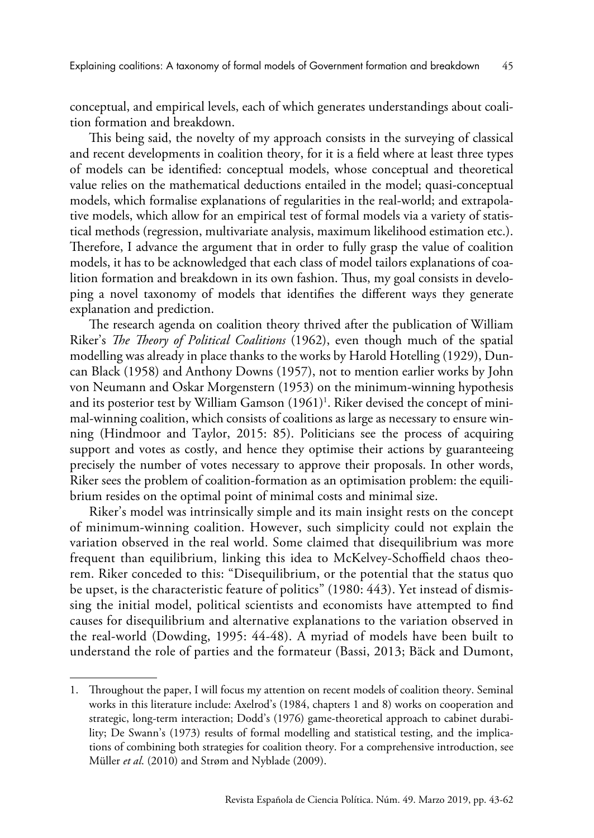conceptual, and empirical levels, each of which generates understandings about coalition formation and breakdown.

This being said, the novelty of my approach consists in the surveying of classical and recent developments in coalition theory, for it is a field where at least three types of models can be identified: conceptual models, whose conceptual and theoretical value relies on the mathematical deductions entailed in the model; quasi-conceptual models, which formalise explanations of regularities in the real-world; and extrapolative models, which allow for an empirical test of formal models via a variety of statistical methods (regression, multivariate analysis, maximum likelihood estimation etc.). Therefore, I advance the argument that in order to fully grasp the value of coalition models, it has to be acknowledged that each class of model tailors explanations of coalition formation and breakdown in its own fashion. Thus, my goal consists in developing a novel taxonomy of models that identifies the different ways they generate explanation and prediction.

The research agenda on coalition theory thrived after the publication of William Riker's *The Theory of Political Coalitions* (1962), even though much of the spatial modelling was already in place thanks to the works by Harold Hotelling (1929), Duncan Black (1958) and Anthony Downs (1957), not to mention earlier works by John von Neumann and Oskar Morgenstern (1953) on the minimum-winning hypothesis and its posterior test by William Gamson (1961)<sup>1</sup>. Riker devised the concept of minimal-winning coalition, which consists of coalitions as large as necessary to ensure winning (Hindmoor and Taylor, 2015: 85). Politicians see the process of acquiring support and votes as costly, and hence they optimise their actions by guaranteeing precisely the number of votes necessary to approve their proposals. In other words, Riker sees the problem of coalition-formation as an optimisation problem: the equilibrium resides on the optimal point of minimal costs and minimal size.

Riker's model was intrinsically simple and its main insight rests on the concept of minimum-winning coalition. However, such simplicity could not explain the variation observed in the real world. Some claimed that disequilibrium was more frequent than equilibrium, linking this idea to McKelvey-Schoffield chaos theorem. Riker conceded to this: "Disequilibrium, or the potential that the status quo be upset, is the characteristic feature of politics" (1980: 443). Yet instead of dismissing the initial model, political scientists and economists have attempted to find causes for disequilibrium and alternative explanations to the variation observed in the real-world (Dowding, 1995: 44-48). A myriad of models have been built to understand the role of parties and the formateur (Bassi, 2013; Bäck and Dumont,

<sup>1.</sup> Throughout the paper, I will focus my attention on recent models of coalition theory. Seminal works in this literature include: Axelrod's (1984, chapters 1 and 8) works on cooperation and strategic, long-term interaction; Dodd's (1976) game-theoretical approach to cabinet durability; De Swann's (1973) results of formal modelling and statistical testing, and the implications of combining both strategies for coalition theory. For a comprehensive introduction, see Müller *et al*. (2010) and Strøm and Nyblade (2009).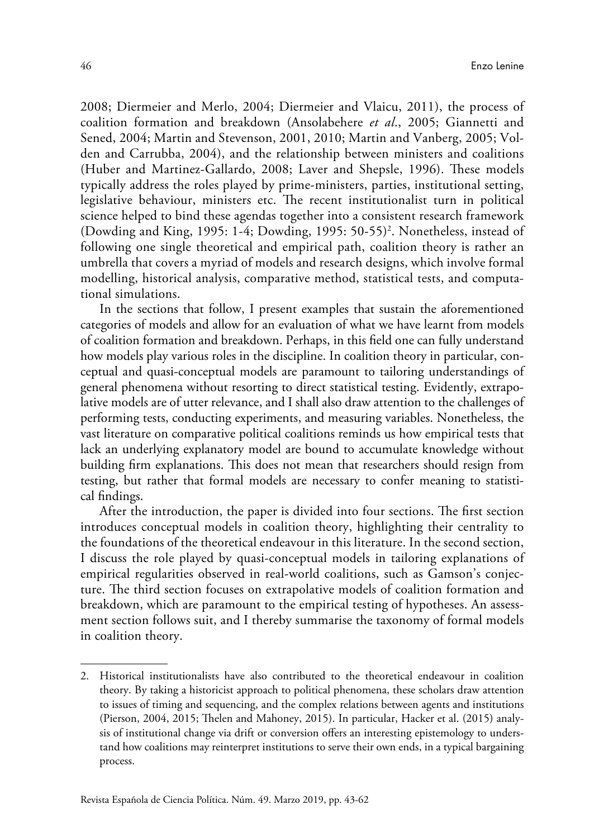2008; Diermeier and Merlo, 2004; Diermeier and Vlaicu, 2011), the process of coalition formation and breakdown (Ansolabehere *et al*., 2005; Giannetti and Sened, 2004; Martin and Stevenson, 2001, 2010; Martin and Vanberg, 2005; Volden and Carrubba, 2004), and the relationship between ministers and coalitions (Huber and Martinez-Gallardo, 2008; Laver and Shepsle, 1996). These models typically address the roles played by prime-ministers, parties, institutional setting, legislative behaviour, ministers etc. The recent institutionalist turn in political science helped to bind these agendas together into a consistent research framework (Dowding and King, 1995: 1-4; Dowding, 1995: 50-55)2 . Nonetheless, instead of following one single theoretical and empirical path, coalition theory is rather an umbrella that covers a myriad of models and research designs, which involve formal modelling, historical analysis, comparative method, statistical tests, and computational simulations.

In the sections that follow, I present examples that sustain the aforementioned categories of models and allow for an evaluation of what we have learnt from models of coalition formation and breakdown. Perhaps, in this field one can fully understand how models play various roles in the discipline. In coalition theory in particular, conceptual and quasi-conceptual models are paramount to tailoring understandings of general phenomena without resorting to direct statistical testing. Evidently, extrapolative models are of utter relevance, and I shall also draw attention to the challenges of performing tests, conducting experiments, and measuring variables. Nonetheless, the vast literature on comparative political coalitions reminds us how empirical tests that lack an underlying explanatory model are bound to accumulate knowledge without building firm explanations. This does not mean that researchers should resign from testing, but rather that formal models are necessary to confer meaning to statistical findings.

After the introduction, the paper is divided into four sections. The first section introduces conceptual models in coalition theory, highlighting their centrality to the foundations of the theoretical endeavour in this literature. In the second section, I discuss the role played by quasi-conceptual models in tailoring explanations of empirical regularities observed in real-world coalitions, such as Gamson's conjecture. The third section focuses on extrapolative models of coalition formation and breakdown, which are paramount to the empirical testing of hypotheses. An assessment section follows suit, and I thereby summarise the taxonomy of formal models in coalition theory.

<sup>2.</sup> Historical institutionalists have also contributed to the theoretical endeavour in coalition theory. By taking a historicist approach to political phenomena, these scholars draw attention to issues of timing and sequencing, and the complex relations between agents and institutions (Pierson, 2004, 2015; Thelen and Mahoney, 2015). In particular, Hacker et al. (2015) analysis of institutional change via drift or conversion offers an interesting epistemology to understand how coalitions may reinterpret institutions to serve their own ends, in a typical bargaining process.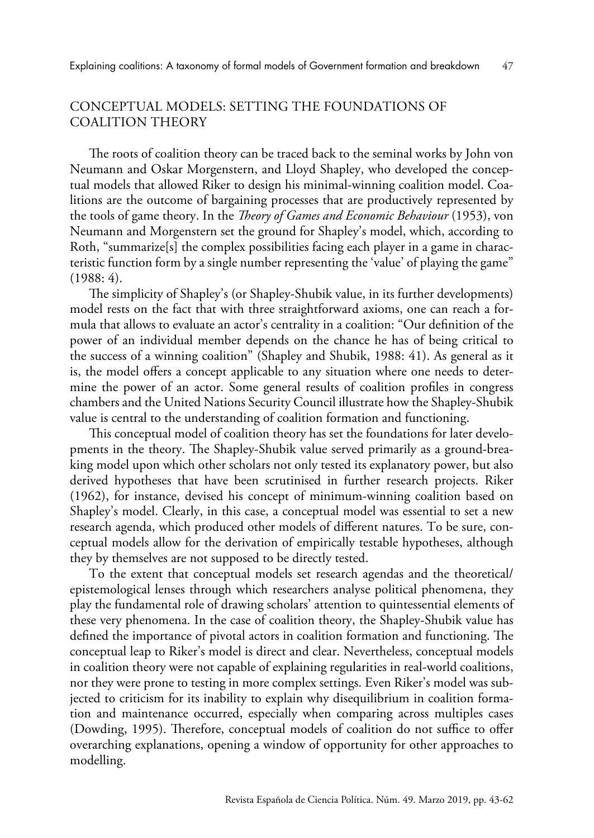# CONCEPTUAL MODELS: SETTING THE FOUNDATIONS OF COALITION THEORY

The roots of coalition theory can be traced back to the seminal works by John von Neumann and Oskar Morgenstern, and Lloyd Shapley, who developed the conceptual models that allowed Riker to design his minimal-winning coalition model. Coalitions are the outcome of bargaining processes that are productively represented by the tools of game theory. In the *Theory of Games and Economic Behaviour* (1953), von Neumann and Morgenstern set the ground for Shapley's model, which, according to Roth, "summarize[s] the complex possibilities facing each player in a game in characteristic function form by a single number representing the 'value' of playing the game" (1988: 4).

The simplicity of Shapley's (or Shapley-Shubik value, in its further developments) model rests on the fact that with three straightforward axioms, one can reach a formula that allows to evaluate an actor's centrality in a coalition: "Our definition of the power of an individual member depends on the chance he has of being critical to the success of a winning coalition" (Shapley and Shubik, 1988: 41). As general as it is, the model offers a concept applicable to any situation where one needs to determine the power of an actor. Some general results of coalition profiles in congress chambers and the United Nations Security Council illustrate how the Shapley-Shubik value is central to the understanding of coalition formation and functioning.

This conceptual model of coalition theory has set the foundations for later developments in the theory. The Shapley-Shubik value served primarily as a ground-breaking model upon which other scholars not only tested its explanatory power, but also derived hypotheses that have been scrutinised in further research projects. Riker (1962), for instance, devised his concept of minimum-winning coalition based on Shapley's model. Clearly, in this case, a conceptual model was essential to set a new research agenda, which produced other models of different natures. To be sure, conceptual models allow for the derivation of empirically testable hypotheses, although they by themselves are not supposed to be directly tested.

To the extent that conceptual models set research agendas and the theoretical/ epistemological lenses through which researchers analyse political phenomena, they play the fundamental role of drawing scholars' attention to quintessential elements of these very phenomena. In the case of coalition theory, the Shapley-Shubik value has defined the importance of pivotal actors in coalition formation and functioning. The conceptual leap to Riker's model is direct and clear. Nevertheless, conceptual models in coalition theory were not capable of explaining regularities in real-world coalitions, nor they were prone to testing in more complex settings. Even Riker's model was subjected to criticism for its inability to explain why disequilibrium in coalition formation and maintenance occurred, especially when comparing across multiples cases (Dowding, 1995). Therefore, conceptual models of coalition do not suffice to offer overarching explanations, opening a window of opportunity for other approaches to modelling.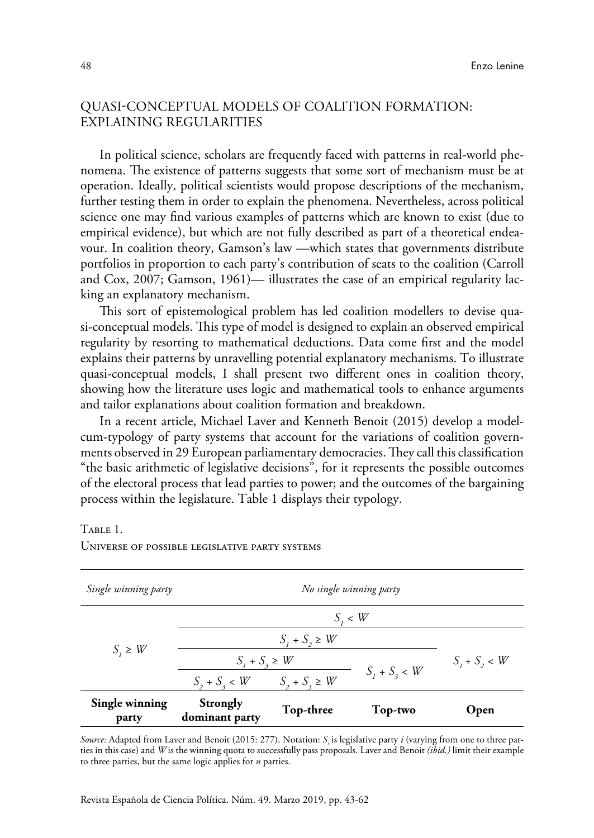# QUASI-CONCEPTUAL MODELS OF COALITION FORMATION: EXPLAINING REGULARITIES

In political science, scholars are frequently faced with patterns in real-world phenomena. The existence of patterns suggests that some sort of mechanism must be at operation. Ideally, political scientists would propose descriptions of the mechanism, further testing them in order to explain the phenomena. Nevertheless, across political science one may find various examples of patterns which are known to exist (due to empirical evidence), but which are not fully described as part of a theoretical endeavour. In coalition theory, Gamson's law —which states that governments distribute portfolios in proportion to each party's contribution of seats to the coalition (Carroll and Cox, 2007; Gamson, 1961)— illustrates the case of an empirical regularity lacking an explanatory mechanism.

This sort of epistemological problem has led coalition modellers to devise quasi-conceptual models. This type of model is designed to explain an observed empirical regularity by resorting to mathematical deductions. Data come first and the model explains their patterns by unravelling potential explanatory mechanisms. To illustrate quasi-conceptual models, I shall present two different ones in coalition theory, showing how the literature uses logic and mathematical tools to enhance arguments and tailor explanations about coalition formation and breakdown.

In a recent article, Michael Laver and Kenneth Benoit (2015) develop a modelcum-typology of party systems that account for the variations of coalition governments observed in 29 European parliamentary democracies. They call this classification "the basic arithmetic of legislative decisions", for it represents the possible outcomes of the electoral process that lead parties to power; and the outcomes of the bargaining process within the legislature. Table 1 displays their typology.

#### Table 1.

| Single winning party    | No single winning party    |                    |                 |                 |  |
|-------------------------|----------------------------|--------------------|-----------------|-----------------|--|
| $S_i \geq W$            | $S_i \lt W$                |                    |                 |                 |  |
|                         | $S_1 + S_2 \geq W$         |                    |                 |                 |  |
|                         | $S_1 + S_2 \geq W$         |                    |                 | $S_1 + S_2 < W$ |  |
|                         | $S_2 + S_3 < W$            | $S_2 + S_3 \geq W$ | $S_1 + S_3 < W$ |                 |  |
| Single winning<br>party | Strongly<br>dominant party | Top-three          | Top-two         | Open            |  |

Universe of possible legislative party systems

*Source:* Adapted from Laver and Benoit (2015: 277). Notation: *Si* is legislative party *i* (varying from one to three parties in this case) and *W* is the winning quota to successfully pass proposals. Laver and Benoit *(ibid.)* limit their example to three parties, but the same logic applies for *n* parties.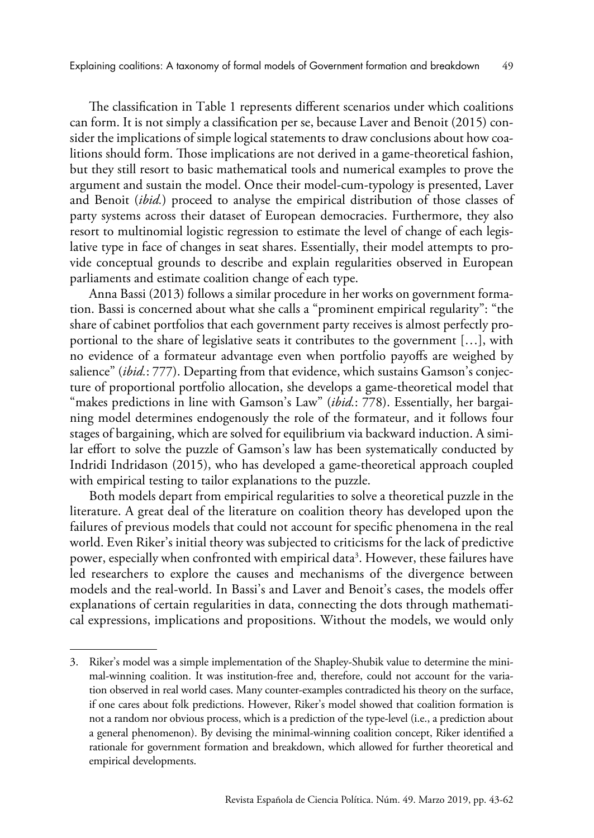The classification in Table 1 represents different scenarios under which coalitions can form. It is not simply a classification per se, because Laver and Benoit (2015) consider the implications of simple logical statements to draw conclusions about how coalitions should form. Those implications are not derived in a game-theoretical fashion, but they still resort to basic mathematical tools and numerical examples to prove the argument and sustain the model. Once their model-cum-typology is presented, Laver and Benoit (*ibid.*) proceed to analyse the empirical distribution of those classes of party systems across their dataset of European democracies. Furthermore, they also resort to multinomial logistic regression to estimate the level of change of each legislative type in face of changes in seat shares. Essentially, their model attempts to provide conceptual grounds to describe and explain regularities observed in European parliaments and estimate coalition change of each type.

Anna Bassi (2013) follows a similar procedure in her works on government formation. Bassi is concerned about what she calls a "prominent empirical regularity": "the share of cabinet portfolios that each government party receives is almost perfectly proportional to the share of legislative seats it contributes to the government […], with no evidence of a formateur advantage even when portfolio payoffs are weighed by salience" (*ibid.*: 777). Departing from that evidence, which sustains Gamson's conjecture of proportional portfolio allocation, she develops a game-theoretical model that "makes predictions in line with Gamson's Law" (*ibid.*: 778). Essentially, her bargaining model determines endogenously the role of the formateur, and it follows four stages of bargaining, which are solved for equilibrium via backward induction. A similar effort to solve the puzzle of Gamson's law has been systematically conducted by Indridi Indridason (2015), who has developed a game-theoretical approach coupled with empirical testing to tailor explanations to the puzzle.

Both models depart from empirical regularities to solve a theoretical puzzle in the literature. A great deal of the literature on coalition theory has developed upon the failures of previous models that could not account for specific phenomena in the real world. Even Riker's initial theory was subjected to criticisms for the lack of predictive power, especially when confronted with empirical data<sup>3</sup>. However, these failures have led researchers to explore the causes and mechanisms of the divergence between models and the real-world. In Bassi's and Laver and Benoit's cases, the models offer explanations of certain regularities in data, connecting the dots through mathematical expressions, implications and propositions. Without the models, we would only

<sup>3.</sup> Riker's model was a simple implementation of the Shapley-Shubik value to determine the minimal-winning coalition. It was institution-free and, therefore, could not account for the variation observed in real world cases. Many counter-examples contradicted his theory on the surface, if one cares about folk predictions. However, Riker's model showed that coalition formation is not a random nor obvious process, which is a prediction of the type-level (i.e., a prediction about a general phenomenon). By devising the minimal-winning coalition concept, Riker identified a rationale for government formation and breakdown, which allowed for further theoretical and empirical developments.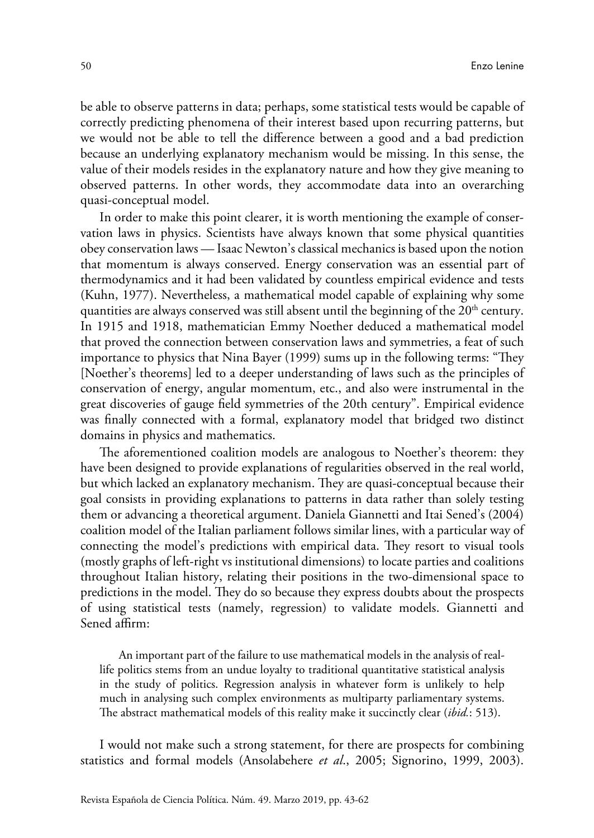be able to observe patterns in data; perhaps, some statistical tests would be capable of correctly predicting phenomena of their interest based upon recurring patterns, but we would not be able to tell the difference between a good and a bad prediction because an underlying explanatory mechanism would be missing. In this sense, the value of their models resides in the explanatory nature and how they give meaning to observed patterns. In other words, they accommodate data into an overarching quasi-conceptual model.

In order to make this point clearer, it is worth mentioning the example of conservation laws in physics. Scientists have always known that some physical quantities obey conservation laws — Isaac Newton's classical mechanics is based upon the notion that momentum is always conserved. Energy conservation was an essential part of thermodynamics and it had been validated by countless empirical evidence and tests (Kuhn, 1977). Nevertheless, a mathematical model capable of explaining why some quantities are always conserved was still absent until the beginning of the  $20<sup>th</sup>$  century. In 1915 and 1918, mathematician Emmy Noether deduced a mathematical model that proved the connection between conservation laws and symmetries, a feat of such importance to physics that Nina Bayer (1999) sums up in the following terms: "They [Noether's theorems] led to a deeper understanding of laws such as the principles of conservation of energy, angular momentum, etc., and also were instrumental in the great discoveries of gauge field symmetries of the 20th century". Empirical evidence was finally connected with a formal, explanatory model that bridged two distinct domains in physics and mathematics.

The aforementioned coalition models are analogous to Noether's theorem: they have been designed to provide explanations of regularities observed in the real world, but which lacked an explanatory mechanism. They are quasi-conceptual because their goal consists in providing explanations to patterns in data rather than solely testing them or advancing a theoretical argument. Daniela Giannetti and Itai Sened's (2004) coalition model of the Italian parliament follows similar lines, with a particular way of connecting the model's predictions with empirical data. They resort to visual tools (mostly graphs of left-right vs institutional dimensions) to locate parties and coalitions throughout Italian history, relating their positions in the two-dimensional space to predictions in the model. They do so because they express doubts about the prospects of using statistical tests (namely, regression) to validate models. Giannetti and Sened affirm:

An important part of the failure to use mathematical models in the analysis of reallife politics stems from an undue loyalty to traditional quantitative statistical analysis in the study of politics. Regression analysis in whatever form is unlikely to help much in analysing such complex environments as multiparty parliamentary systems. The abstract mathematical models of this reality make it succinctly clear (*ibid.*: 513).

I would not make such a strong statement, for there are prospects for combining statistics and formal models (Ansolabehere *et al*., 2005; Signorino, 1999, 2003).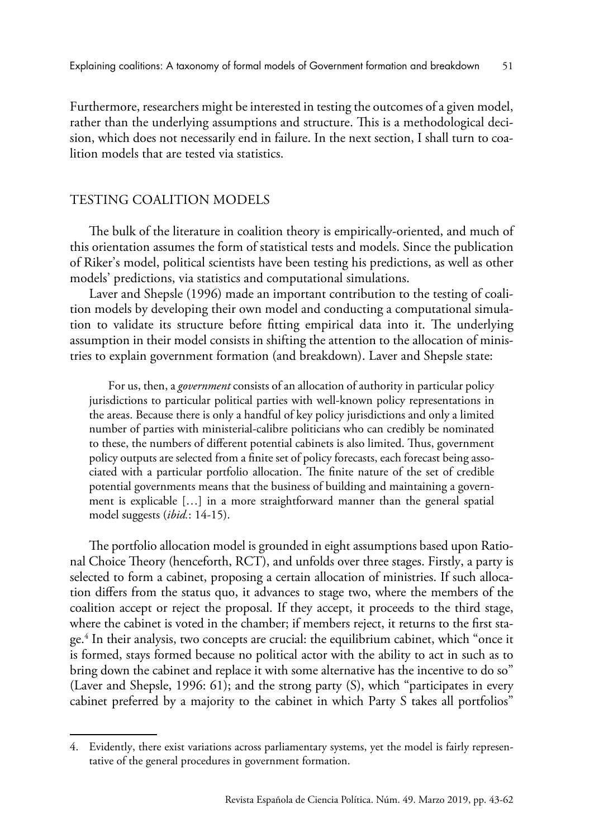Furthermore, researchers might be interested in testing the outcomes of a given model, rather than the underlying assumptions and structure. This is a methodological decision, which does not necessarily end in failure. In the next section, I shall turn to coalition models that are tested via statistics.

## TESTING COALITION MODELS

The bulk of the literature in coalition theory is empirically-oriented, and much of this orientation assumes the form of statistical tests and models. Since the publication of Riker's model, political scientists have been testing his predictions, as well as other models' predictions, via statistics and computational simulations.

Laver and Shepsle (1996) made an important contribution to the testing of coalition models by developing their own model and conducting a computational simulation to validate its structure before fitting empirical data into it. The underlying assumption in their model consists in shifting the attention to the allocation of ministries to explain government formation (and breakdown). Laver and Shepsle state:

For us, then, a *government* consists of an allocation of authority in particular policy jurisdictions to particular political parties with well-known policy representations in the areas. Because there is only a handful of key policy jurisdictions and only a limited number of parties with ministerial-calibre politicians who can credibly be nominated to these, the numbers of different potential cabinets is also limited. Thus, government policy outputs are selected from a finite set of policy forecasts, each forecast being associated with a particular portfolio allocation. The finite nature of the set of credible potential governments means that the business of building and maintaining a government is explicable […] in a more straightforward manner than the general spatial model suggests (*ibid.*: 14-15).

The portfolio allocation model is grounded in eight assumptions based upon Rational Choice Theory (henceforth, RCT), and unfolds over three stages. Firstly, a party is selected to form a cabinet, proposing a certain allocation of ministries. If such allocation differs from the status quo, it advances to stage two, where the members of the coalition accept or reject the proposal. If they accept, it proceeds to the third stage, where the cabinet is voted in the chamber; if members reject, it returns to the first stage.<sup>4</sup> In their analysis, two concepts are crucial: the equilibrium cabinet, which "once it is formed, stays formed because no political actor with the ability to act in such as to bring down the cabinet and replace it with some alternative has the incentive to do so" (Laver and Shepsle, 1996: 61); and the strong party (S), which "participates in every cabinet preferred by a majority to the cabinet in which Party S takes all portfolios"

<sup>4.</sup> Evidently, there exist variations across parliamentary systems, yet the model is fairly representative of the general procedures in government formation.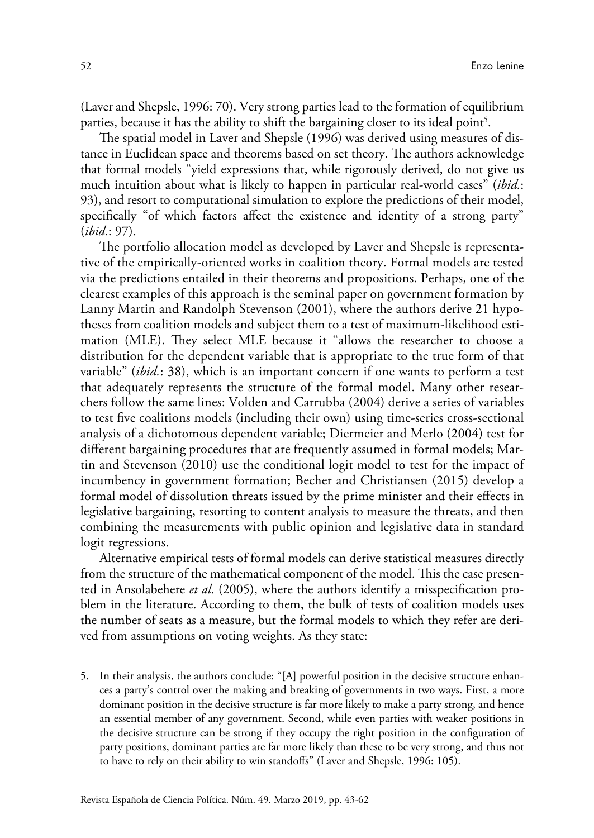(Laver and Shepsle, 1996: 70). Very strong parties lead to the formation of equilibrium parties, because it has the ability to shift the bargaining closer to its ideal point<sup>5</sup>.

The spatial model in Laver and Shepsle (1996) was derived using measures of distance in Euclidean space and theorems based on set theory. The authors acknowledge that formal models "yield expressions that, while rigorously derived, do not give us much intuition about what is likely to happen in particular real-world cases" (*ibid.*: 93), and resort to computational simulation to explore the predictions of their model, specifically "of which factors affect the existence and identity of a strong party" (*ibid.*: 97).

The portfolio allocation model as developed by Laver and Shepsle is representative of the empirically-oriented works in coalition theory. Formal models are tested via the predictions entailed in their theorems and propositions. Perhaps, one of the clearest examples of this approach is the seminal paper on government formation by Lanny Martin and Randolph Stevenson (2001), where the authors derive 21 hypotheses from coalition models and subject them to a test of maximum-likelihood estimation (MLE). They select MLE because it "allows the researcher to choose a distribution for the dependent variable that is appropriate to the true form of that variable" (*ibid.*: 38), which is an important concern if one wants to perform a test that adequately represents the structure of the formal model. Many other researchers follow the same lines: Volden and Carrubba (2004) derive a series of variables to test five coalitions models (including their own) using time-series cross-sectional analysis of a dichotomous dependent variable; Diermeier and Merlo (2004) test for different bargaining procedures that are frequently assumed in formal models; Martin and Stevenson (2010) use the conditional logit model to test for the impact of incumbency in government formation; Becher and Christiansen (2015) develop a formal model of dissolution threats issued by the prime minister and their effects in legislative bargaining, resorting to content analysis to measure the threats, and then combining the measurements with public opinion and legislative data in standard logit regressions.

Alternative empirical tests of formal models can derive statistical measures directly from the structure of the mathematical component of the model. This the case presented in Ansolabehere *et al*. (2005), where the authors identify a misspecification problem in the literature. According to them, the bulk of tests of coalition models uses the number of seats as a measure, but the formal models to which they refer are derived from assumptions on voting weights. As they state:

<sup>5.</sup> In their analysis, the authors conclude: "[A] powerful position in the decisive structure enhances a party's control over the making and breaking of governments in two ways. First, a more dominant position in the decisive structure is far more likely to make a party strong, and hence an essential member of any government. Second, while even parties with weaker positions in the decisive structure can be strong if they occupy the right position in the configuration of party positions, dominant parties are far more likely than these to be very strong, and thus not to have to rely on their ability to win standoffs" (Laver and Shepsle, 1996: 105).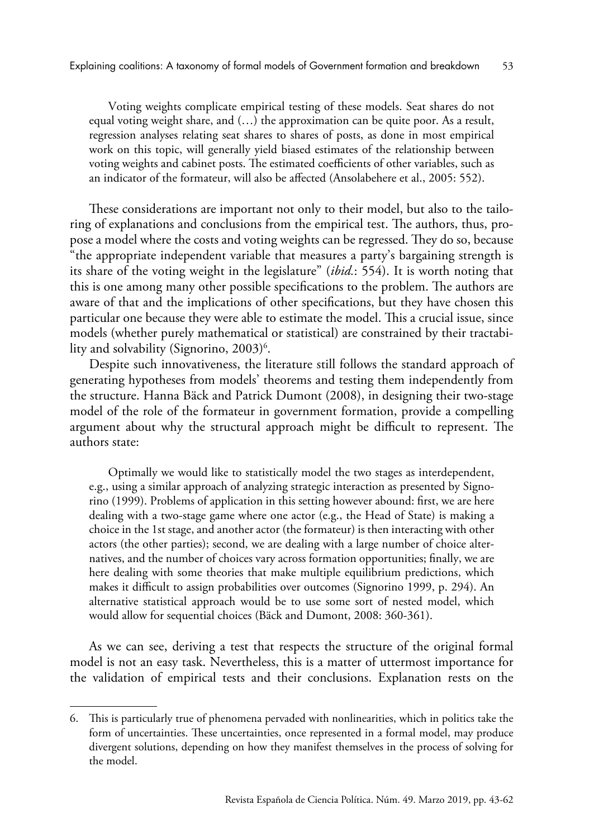Voting weights complicate empirical testing of these models. Seat shares do not equal voting weight share, and  $(...)$  the approximation can be quite poor. As a result, regression analyses relating seat shares to shares of posts, as done in most empirical work on this topic, will generally yield biased estimates of the relationship between voting weights and cabinet posts. The estimated coefficients of other variables, such as an indicator of the formateur, will also be affected (Ansolabehere et al., 2005: 552).

These considerations are important not only to their model, but also to the tailoring of explanations and conclusions from the empirical test. The authors, thus, propose a model where the costs and voting weights can be regressed. They do so, because "the appropriate independent variable that measures a party's bargaining strength is its share of the voting weight in the legislature" (*ibid.*: 554). It is worth noting that this is one among many other possible specifications to the problem. The authors are aware of that and the implications of other specifications, but they have chosen this particular one because they were able to estimate the model. This a crucial issue, since models (whether purely mathematical or statistical) are constrained by their tractability and solvability (Signorino, 2003) $^6$ .

Despite such innovativeness, the literature still follows the standard approach of generating hypotheses from models' theorems and testing them independently from the structure. Hanna Bäck and Patrick Dumont (2008), in designing their two-stage model of the role of the formateur in government formation, provide a compelling argument about why the structural approach might be difficult to represent. The authors state:

Optimally we would like to statistically model the two stages as interdependent, e.g., using a similar approach of analyzing strategic interaction as presented by Signorino (1999). Problems of application in this setting however abound: first, we are here dealing with a two-stage game where one actor (e.g., the Head of State) is making a choice in the 1st stage, and another actor (the formateur) is then interacting with other actors (the other parties); second, we are dealing with a large number of choice alternatives, and the number of choices vary across formation opportunities; finally, we are here dealing with some theories that make multiple equilibrium predictions, which makes it difficult to assign probabilities over outcomes (Signorino 1999, p. 294). An alternative statistical approach would be to use some sort of nested model, which would allow for sequential choices (Bäck and Dumont, 2008: 360-361).

As we can see, deriving a test that respects the structure of the original formal model is not an easy task. Nevertheless, this is a matter of uttermost importance for the validation of empirical tests and their conclusions. Explanation rests on the

<sup>6.</sup> This is particularly true of phenomena pervaded with nonlinearities, which in politics take the form of uncertainties. These uncertainties, once represented in a formal model, may produce divergent solutions, depending on how they manifest themselves in the process of solving for the model.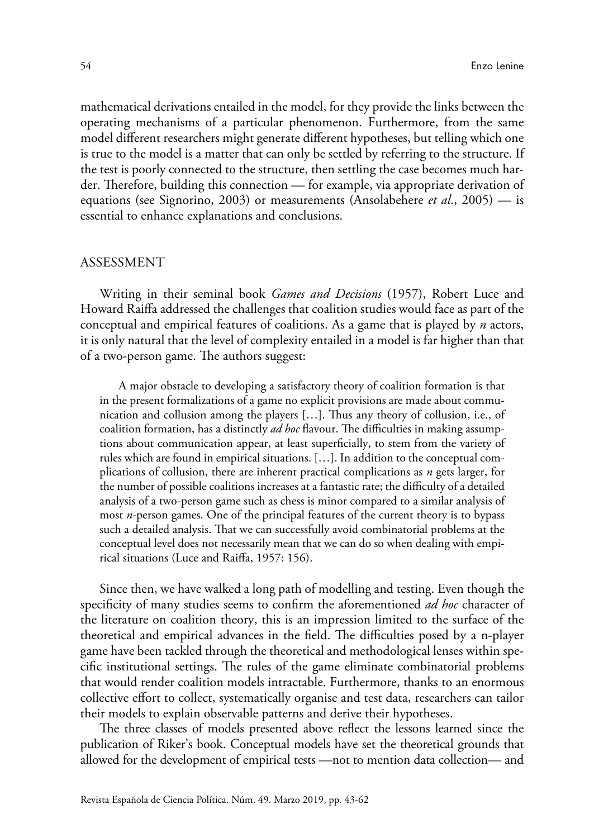mathematical derivations entailed in the model, for they provide the links between the operating mechanisms of a particular phenomenon. Furthermore, from the same model different researchers might generate different hypotheses, but telling which one is true to the model is a matter that can only be settled by referring to the structure. If the test is poorly connected to the structure, then settling the case becomes much harder. Therefore, building this connection — for example, via appropriate derivation of equations (see Signorino, 2003) or measurements (Ansolabehere *et al*., 2005) — is essential to enhance explanations and conclusions.

#### ASSESSMENT

Writing in their seminal book *Games and Decisions* (1957), Robert Luce and Howard Raiffa addressed the challenges that coalition studies would face as part of the conceptual and empirical features of coalitions. As a game that is played by *n* actors, it is only natural that the level of complexity entailed in a model is far higher than that of a two-person game. The authors suggest:

A major obstacle to developing a satisfactory theory of coalition formation is that in the present formalizations of a game no explicit provisions are made about communication and collusion among the players […]. Thus any theory of collusion, i.e., of coalition formation, has a distinctly *ad hoc* flavour. The difficulties in making assumptions about communication appear, at least superficially, to stem from the variety of rules which are found in empirical situations. […]. In addition to the conceptual complications of collusion, there are inherent practical complications as *n* gets larger, for the number of possible coalitions increases at a fantastic rate; the difficulty of a detailed analysis of a two-person game such as chess is minor compared to a similar analysis of most *n*-person games. One of the principal features of the current theory is to bypass such a detailed analysis. That we can successfully avoid combinatorial problems at the conceptual level does not necessarily mean that we can do so when dealing with empirical situations (Luce and Raiffa, 1957: 156).

Since then, we have walked a long path of modelling and testing. Even though the specificity of many studies seems to confirm the aforementioned *ad hoc* character of the literature on coalition theory, this is an impression limited to the surface of the theoretical and empirical advances in the field. The difficulties posed by a n-player game have been tackled through the theoretical and methodological lenses within specific institutional settings. The rules of the game eliminate combinatorial problems that would render coalition models intractable. Furthermore, thanks to an enormous collective effort to collect, systematically organise and test data, researchers can tailor their models to explain observable patterns and derive their hypotheses.

The three classes of models presented above reflect the lessons learned since the publication of Riker's book. Conceptual models have set the theoretical grounds that allowed for the development of empirical tests —not to mention data collection— and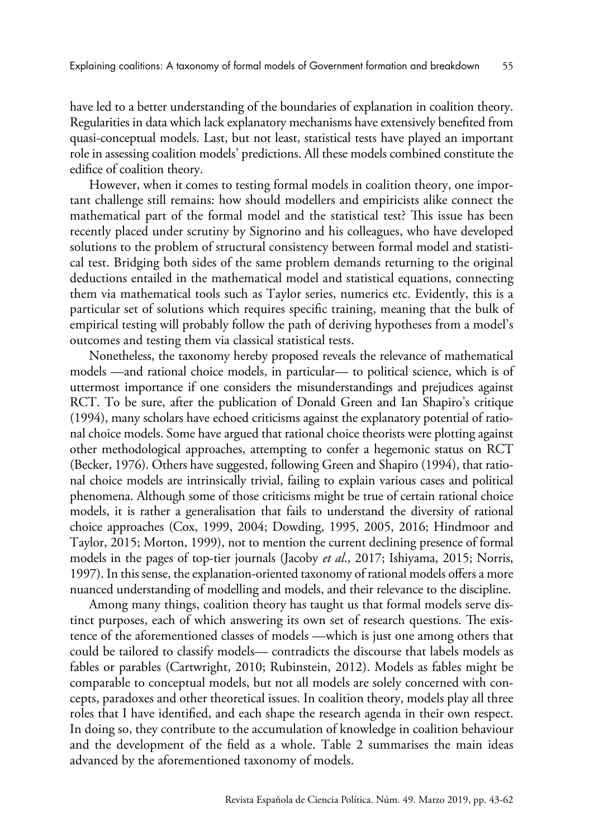have led to a better understanding of the boundaries of explanation in coalition theory. Regularities in data which lack explanatory mechanisms have extensively benefited from quasi-conceptual models. Last, but not least, statistical tests have played an important role in assessing coalition models' predictions. All these models combined constitute the edifice of coalition theory.

However, when it comes to testing formal models in coalition theory, one important challenge still remains: how should modellers and empiricists alike connect the mathematical part of the formal model and the statistical test? This issue has been recently placed under scrutiny by Signorino and his colleagues, who have developed solutions to the problem of structural consistency between formal model and statistical test. Bridging both sides of the same problem demands returning to the original deductions entailed in the mathematical model and statistical equations, connecting them via mathematical tools such as Taylor series, numerics etc. Evidently, this is a particular set of solutions which requires specific training, meaning that the bulk of empirical testing will probably follow the path of deriving hypotheses from a model's outcomes and testing them via classical statistical tests.

Nonetheless, the taxonomy hereby proposed reveals the relevance of mathematical models —and rational choice models, in particular— to political science, which is of uttermost importance if one considers the misunderstandings and prejudices against RCT. To be sure, after the publication of Donald Green and Ian Shapiro's critique (1994), many scholars have echoed criticisms against the explanatory potential of rational choice models. Some have argued that rational choice theorists were plotting against other methodological approaches, attempting to confer a hegemonic status on RCT (Becker, 1976). Others have suggested, following Green and Shapiro (1994), that rational choice models are intrinsically trivial, failing to explain various cases and political phenomena. Although some of those criticisms might be true of certain rational choice models, it is rather a generalisation that fails to understand the diversity of rational choice approaches (Cox, 1999, 2004; Dowding, 1995, 2005, 2016; Hindmoor and Taylor, 2015; Morton, 1999), not to mention the current declining presence of formal models in the pages of top-tier journals (Jacoby *et al*., 2017; Ishiyama, 2015; Norris, 1997). In this sense, the explanation-oriented taxonomy of rational models offers a more nuanced understanding of modelling and models, and their relevance to the discipline.

Among many things, coalition theory has taught us that formal models serve distinct purposes, each of which answering its own set of research questions. The existence of the aforementioned classes of models —which is just one among others that could be tailored to classify models— contradicts the discourse that labels models as fables or parables (Cartwright, 2010; Rubinstein, 2012). Models as fables might be comparable to conceptual models, but not all models are solely concerned with concepts, paradoxes and other theoretical issues. In coalition theory, models play all three roles that I have identified, and each shape the research agenda in their own respect. In doing so, they contribute to the accumulation of knowledge in coalition behaviour and the development of the field as a whole. Table 2 summarises the main ideas advanced by the aforementioned taxonomy of models.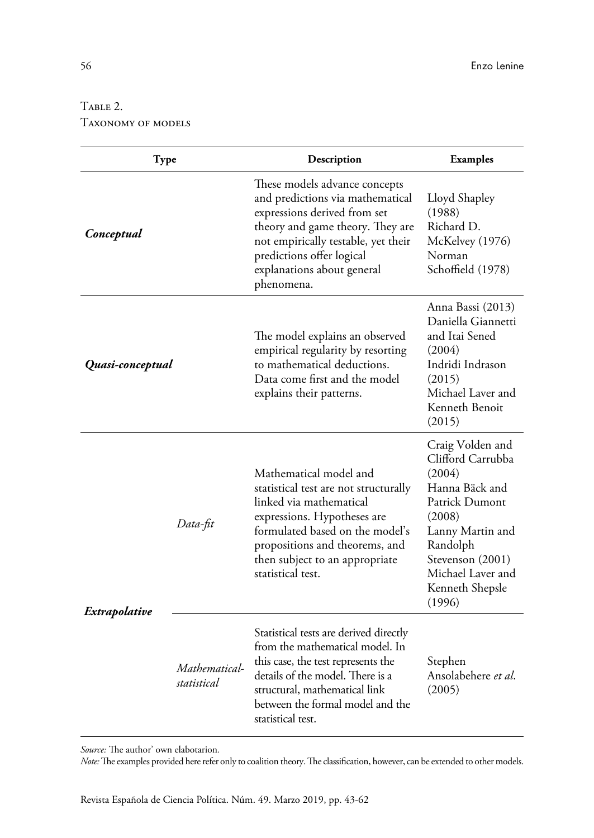# TABLE 2. Taxonomy of models

| Type             |                              | Description                                                                                                                                                                                                                                           | <b>Examples</b>                                                                                                                                                                                     |
|------------------|------------------------------|-------------------------------------------------------------------------------------------------------------------------------------------------------------------------------------------------------------------------------------------------------|-----------------------------------------------------------------------------------------------------------------------------------------------------------------------------------------------------|
| Conceptual       |                              | These models advance concepts<br>and predictions via mathematical<br>expressions derived from set<br>theory and game theory. They are<br>not empirically testable, yet their<br>predictions offer logical<br>explanations about general<br>phenomena. | Lloyd Shapley<br>(1988)<br>Richard D.<br>McKelvey (1976)<br>Norman<br>Schoffield (1978)                                                                                                             |
| Quasi-conceptual |                              | The model explains an observed<br>empirical regularity by resorting<br>to mathematical deductions.<br>Data come first and the model<br>explains their patterns.                                                                                       | Anna Bassi (2013)<br>Daniella Giannetti<br>and Itai Sened<br>(2004)<br>Indridi Indrason<br>(2015)<br>Michael Laver and<br>Kenneth Benoit<br>(2015)                                                  |
| Extrapolative    | Data-fit                     | Mathematical model and<br>statistical test are not structurally<br>linked via mathematical<br>expressions. Hypotheses are<br>formulated based on the model's<br>propositions and theorems, and<br>then subject to an appropriate<br>statistical test. | Craig Volden and<br>Clifford Carrubba<br>(2004)<br>Hanna Bäck and<br>Patrick Dumont<br>(2008)<br>Lanny Martin and<br>Randolph<br>Stevenson (2001)<br>Michael Laver and<br>Kenneth Shepsle<br>(1996) |
|                  | Mathematical-<br>statistical | Statistical tests are derived directly<br>from the mathematical model. In<br>this case, the test represents the<br>details of the model. There is a<br>structural, mathematical link<br>between the formal model and the<br>statistical test.         | Stephen<br>Ansolabehere et al.<br>(2005)                                                                                                                                                            |

*Source:* The author' own elabotarion*.*

*Note:* The examples provided here refer only to coalition theory. The classification, however, can be extended to other models.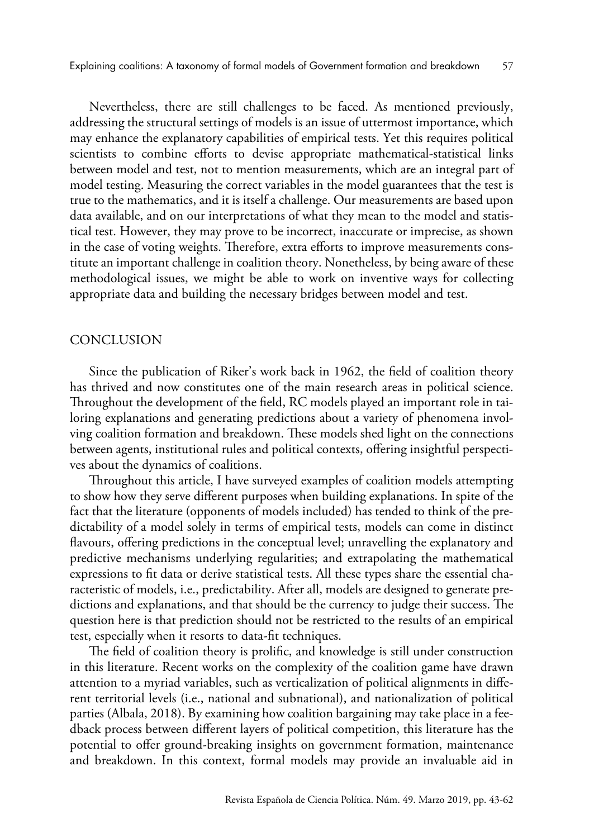Nevertheless, there are still challenges to be faced. As mentioned previously, addressing the structural settings of models is an issue of uttermost importance, which may enhance the explanatory capabilities of empirical tests. Yet this requires political scientists to combine efforts to devise appropriate mathematical-statistical links between model and test, not to mention measurements, which are an integral part of model testing. Measuring the correct variables in the model guarantees that the test is true to the mathematics, and it is itself a challenge. Our measurements are based upon data available, and on our interpretations of what they mean to the model and statistical test. However, they may prove to be incorrect, inaccurate or imprecise, as shown in the case of voting weights. Therefore, extra efforts to improve measurements constitute an important challenge in coalition theory. Nonetheless, by being aware of these methodological issues, we might be able to work on inventive ways for collecting appropriate data and building the necessary bridges between model and test.

## CONCLUSION

Since the publication of Riker's work back in 1962, the field of coalition theory has thrived and now constitutes one of the main research areas in political science. Throughout the development of the field, RC models played an important role in tailoring explanations and generating predictions about a variety of phenomena involving coalition formation and breakdown. These models shed light on the connections between agents, institutional rules and political contexts, offering insightful perspectives about the dynamics of coalitions.

Throughout this article, I have surveyed examples of coalition models attempting to show how they serve different purposes when building explanations. In spite of the fact that the literature (opponents of models included) has tended to think of the predictability of a model solely in terms of empirical tests, models can come in distinct flavours, offering predictions in the conceptual level; unravelling the explanatory and predictive mechanisms underlying regularities; and extrapolating the mathematical expressions to fit data or derive statistical tests. All these types share the essential characteristic of models, i.e., predictability. After all, models are designed to generate predictions and explanations, and that should be the currency to judge their success. The question here is that prediction should not be restricted to the results of an empirical test, especially when it resorts to data-fit techniques.

The field of coalition theory is prolific, and knowledge is still under construction in this literature. Recent works on the complexity of the coalition game have drawn attention to a myriad variables, such as verticalization of political alignments in different territorial levels (i.e., national and subnational), and nationalization of political parties (Albala, 2018). By examining how coalition bargaining may take place in a feedback process between different layers of political competition, this literature has the potential to offer ground-breaking insights on government formation, maintenance and breakdown. In this context, formal models may provide an invaluable aid in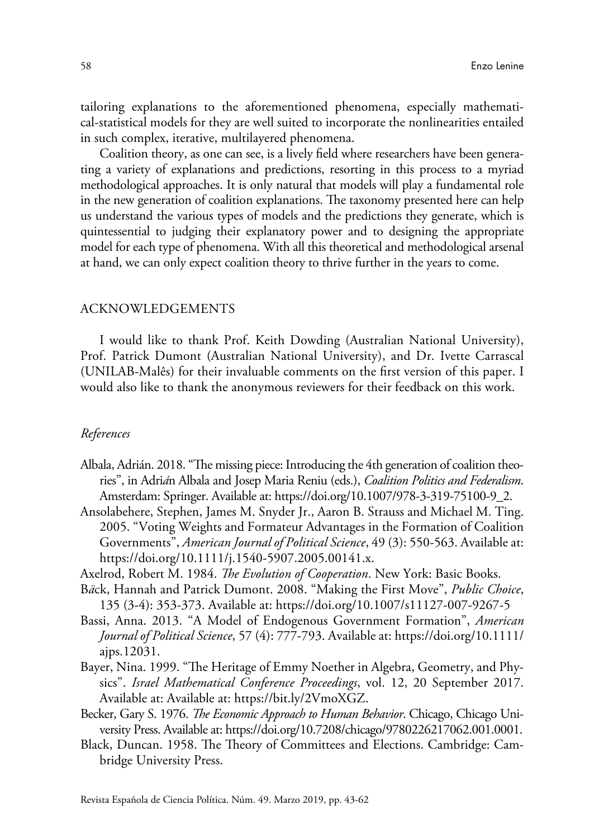tailoring explanations to the aforementioned phenomena, especially mathematical-statistical models for they are well suited to incorporate the nonlinearities entailed in such complex, iterative, multilayered phenomena.

Coalition theory, as one can see, is a lively field where researchers have been generating a variety of explanations and predictions, resorting in this process to a myriad methodological approaches. It is only natural that models will play a fundamental role in the new generation of coalition explanations. The taxonomy presented here can help us understand the various types of models and the predictions they generate, which is quintessential to judging their explanatory power and to designing the appropriate model for each type of phenomena. With all this theoretical and methodological arsenal at hand, we can only expect coalition theory to thrive further in the years to come.

## ACKNOWLEDGEMENTS

I would like to thank Prof. Keith Dowding (Australian National University), Prof. Patrick Dumont (Australian National University), and Dr. Ivette Carrascal (UNILAB-Malês) for their invaluable comments on the first version of this paper. I would also like to thank the anonymous reviewers for their feedback on this work.

#### *References*

- Albala, Adrián. 2018. "The missing piece: Introducing the 4th generation of coalition theories", in Adri*á*n Albala and Josep Maria Reniu (eds.), *Coalition Politics and Federalism*. Amsterdam: Springer. Available at: [https://doi.org/10.1007/978-3-319-75100-9\\_2](https://doi.org/10.1007/978-3-319-75100-9_2).
- Ansolabehere, Stephen, James M. Snyder Jr., Aaron B. Strauss and Michael M. Ting. 2005. "Voting Weights and Formateur Advantages in the Formation of Coalition Governments", *American Journal of Political Science*, 49 (3): 550-563. Available at: <https://doi.org/10.1111/j.1540-5907.2005.00141.x>.
- Axelrod, Robert M. 1984. *The Evolution of Cooperation*. New York: Basic Books.
- B*ä*ck, Hannah and Patrick Dumont. 2008. "Making the First Move", *Public Choice*, 135 (3-4): 353-373. Available at: <https://doi.org/10.1007/s11127-007-9267-5>
- Bassi, Anna. 2013. "A Model of Endogenous Government Formation", *American Journal of Political Science*, 57 (4): 777-793. Available at: [https://doi.org/10.1111/](https://doi.org/10.1111/ajps.12031) [ajps.12031](https://doi.org/10.1111/ajps.12031).
- Bayer, Nina. 1999. "The Heritage of Emmy Noether in Algebra, Geometry, and Physics". *Israel Mathematical Conference Proceedings*, vol. 12, 20 September 2017. Available at: Available at: [https://bit.ly/2VmoXGZ.](https://bit.ly/2VmoXGZ)
- Becker, Gary S. 1976. *The Economic Approach to Human Behavior*. Chicago, Chicago University Press. Available at: [https://doi.org/10.7208/chicago/9780226217062.001.0001.](https://doi.org/10.7208/chicago/9780226217062.001.0001)
- Black, Duncan. 1958. The Theory of Committees and Elections. Cambridge: Cambridge University Press.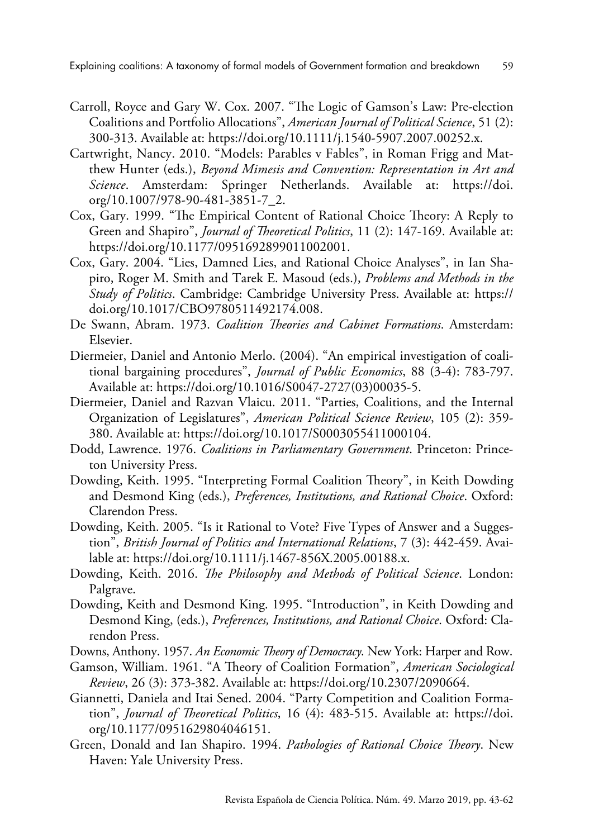- Carroll, Royce and Gary W. Cox. 2007. "The Logic of Gamson's Law: Pre-election Coalitions and Portfolio Allocations", *American Journal of Political Science*, 51 (2): 300-313. Available at: <https://doi.org/10.1111/j.1540-5907.2007.00252.x>.
- Cartwright, Nancy. 2010. "Models: Parables v Fables", in Roman Frigg and Matthew Hunter (eds.), *Beyond Mimesis and Convention: Representation in Art and Science*. Amsterdam: Springer Netherlands. Available at: [https://doi.](https://doi.org/10.1007/978-90-481-3851-7_2) [org/10.1007/978-90-481-3851-7\\_2](https://doi.org/10.1007/978-90-481-3851-7_2).
- Cox, Gary. 1999. "The Empirical Content of Rational Choice Theory: A Reply to Green and Shapiro", *Journal of Theoretical Politics*, 11 (2): 147-169. Available at: [https://doi.org/10.1177/0951692899011002001.](https://doi.org/10.1177/0951692899011002001)
- Cox, Gary. 2004. "Lies, Damned Lies, and Rational Choice Analyses", in Ian Shapiro, Roger M. Smith and Tarek E. Masoud (eds.), *Problems and Methods in the Study of Politics*. Cambridge: Cambridge University Press. Available at: [https://](https://doi.org/10.1017/CBO9780511492174.008) [doi.org/10.1017/CBO9780511492174.008](https://doi.org/10.1017/CBO9780511492174.008).
- De Swann, Abram. 1973. *Coalition Theories and Cabinet Formations*. Amsterdam: Elsevier.
- Diermeier, Daniel and Antonio Merlo. (2004). "An empirical investigation of coalitional bargaining procedures", *Journal of Public Economics*, 88 (3-4): 783-797. Available at: [https://doi.org/10.1016/S0047-2727\(03\)00035-5](https://doi.org/10.1016/S0047-2727(03)00035-5).
- Diermeier, Daniel and Razvan Vlaicu. 2011. "Parties, Coalitions, and the Internal Organization of Legislatures", *American Political Science Review*, 105 (2): 359- 380. Available at: <https://doi.org/10.1017/S0003055411000104>.
- Dodd, Lawrence. 1976. *Coalitions in Parliamentary Government*. Princeton: Princeton University Press.
- Dowding, Keith. 1995. "Interpreting Formal Coalition Theory", in Keith Dowding and Desmond King (eds.), *Preferences, Institutions, and Rational Choice*. Oxford: Clarendon Press.
- Dowding, Keith. 2005. "Is it Rational to Vote? Five Types of Answer and a Suggestion", *British Journal of Politics and International Relations*, 7 (3): 442-459. Available at:<https://doi.org/10.1111/j.1467-856X.2005.00188.x>.
- Dowding, Keith. 2016. *The Philosophy and Methods of Political Science*. London: Palgrave.
- Dowding, Keith and Desmond King. 1995. "Introduction", in Keith Dowding and Desmond King, (eds.), *Preferences, Institutions, and Rational Choice*. Oxford: Clarendon Press.
- Downs, Anthony. 1957. *An Economic Theory of Democracy*. New York: Harper and Row.
- Gamson, William. 1961. "A Theory of Coalition Formation", *American Sociological Review*, 26 (3): 373-382. Available at: [https://doi.org/10.2307/2090664.](https://doi.org/10.2307/2090664)
- Giannetti, Daniela and Itai Sened. 2004. "Party Competition and Coalition Formation", *Journal of Theoretical Politics*, 16 (4): 483-515. Available at: [https://doi.](https://doi.org/10.1177/0951629804046151) [org/10.1177/0951629804046151](https://doi.org/10.1177/0951629804046151).
- Green, Donald and Ian Shapiro. 1994. *Pathologies of Rational Choice Theory*. New Haven: Yale University Press.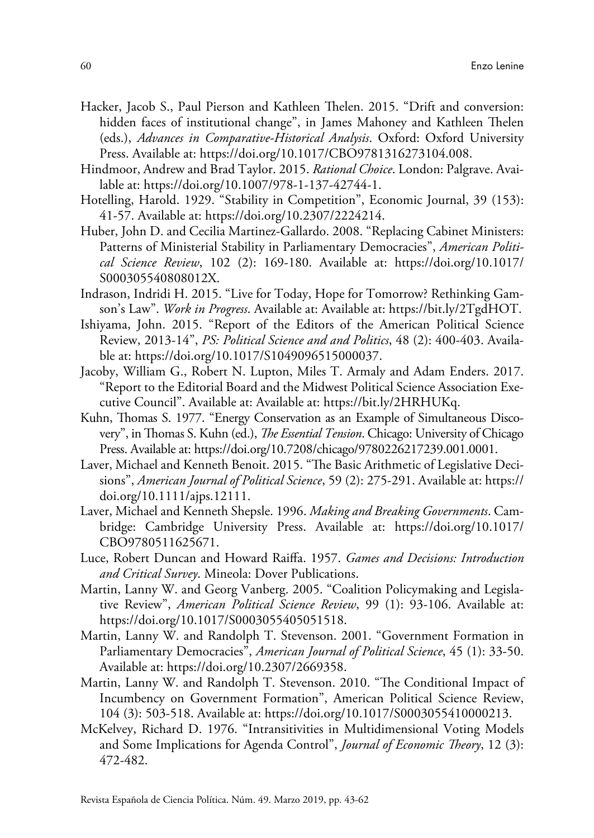- Hacker, Jacob S., Paul Pierson and Kathleen Thelen. 2015. "Drift and conversion: hidden faces of institutional change", in James Mahoney and Kathleen Thelen (eds.), *Advances in Comparative-Historical Analysis*. Oxford: Oxford University Press. Available at: [https://doi.org/10.1017/CBO9781316273104.008.](https://doi.org/10.1017/CBO9781316273104.008)
- Hindmoor, Andrew and Brad Taylor. 2015. *Rational Choice*. London: Palgrave. Available at: <https://doi.org/10.1007/978-1-137-42744-1>.
- Hotelling, Harold. 1929. "Stability in Competition", Economic Journal, 39 (153): 41-57. Available at: [https://doi.org/10.2307/2224214.](https://doi.org/10.2307/2224214)
- Huber, John D. and Cecilia Martinez-Gallardo. 2008. "Replacing Cabinet Ministers: Patterns of Ministerial Stability in Parliamentary Democracies", *American Political Science Review*, 102 (2): 169-180. Available at: [https://doi.org/10.1017/](https://doi.org/10.1017/S000305540808012X) [S000305540808012X.](https://doi.org/10.1017/S000305540808012X)
- Indrason, Indridi H. 2015. "Live for Today, Hope for Tomorrow? Rethinking Gamson's Law". *Work in Progress*. Available at: Available at: [https://bit.ly/2TgdHOT.](https://bit.ly/2TgdHOT)
- Ishiyama, John. 2015. "Report of the Editors of the American Political Science Review, 2013-14", *PS: Political Science and and Politics*, 48 (2): 400-403. Available at: [https://doi.org/10.1017/S1049096515000037.](https://doi.org/10.1017/S1049096515000037)
- Jacoby, William G., Robert N. Lupton, Miles T. Armaly and Adam Enders. 2017. "Report to the Editorial Board and the Midwest Political Science Association Executive Council". Available at: Available at: <https://bit.ly/2HRHUKq>.
- Kuhn, Thomas S. 1977. "Energy Conservation as an Example of Simultaneous Discovery", in Thomas S. Kuhn (ed.), *The Essential Tension*. Chicago: University of Chicago Press. Available at: [https://doi.org/10.7208/chicago/9780226217239.001.0001.](https://doi.org/10.7208/chicago/9780226217239.001.0001)
- Laver, Michael and Kenneth Benoit. 2015. "The Basic Arithmetic of Legislative Decisions", *American Journal of Political Science*, 59 (2): 275-291. Available at: [https://](https://doi.org/10.1111/ajps.12111) [doi.org/10.1111/ajps.12111.](https://doi.org/10.1111/ajps.12111)
- Laver, Michael and Kenneth Shepsle. 1996. *Making and Breaking Governments*. Cambridge: Cambridge University Press. Available at: [https://doi.org/10.1017/](https://doi.org/10.1017/CBO9780511625671) [CBO9780511625671](https://doi.org/10.1017/CBO9780511625671).
- Luce, Robert Duncan and Howard Raiffa. 1957. *Games and Decisions: Introduction and Critical Survey*. Mineola: Dover Publications.
- Martin, Lanny W. and Georg Vanberg. 2005. "Coalition Policymaking and Legislative Review", *American Political Science Review*, 99 (1): 93-106. Available at: <https://doi.org/10.1017/S0003055405051518>.
- Martin, Lanny W. and Randolph T. Stevenson. 2001. "Government Formation in Parliamentary Democracies", *American Journal of Political Science*, 45 (1): 33-50. Available at: [https://doi.org/10.2307/2669358.](https://doi.org/10.2307/2669358)
- Martin, Lanny W. and Randolph T. Stevenson. 2010. "The Conditional Impact of Incumbency on Government Formation", American Political Science Review, 104 (3): 503-518. Available at: <https://doi.org/10.1017/S0003055410000213>.
- McKelvey, Richard D. 1976. "Intransitivities in Multidimensional Voting Models and Some Implications for Agenda Control", *Journal of Economic Theory*, 12 (3): 472-482.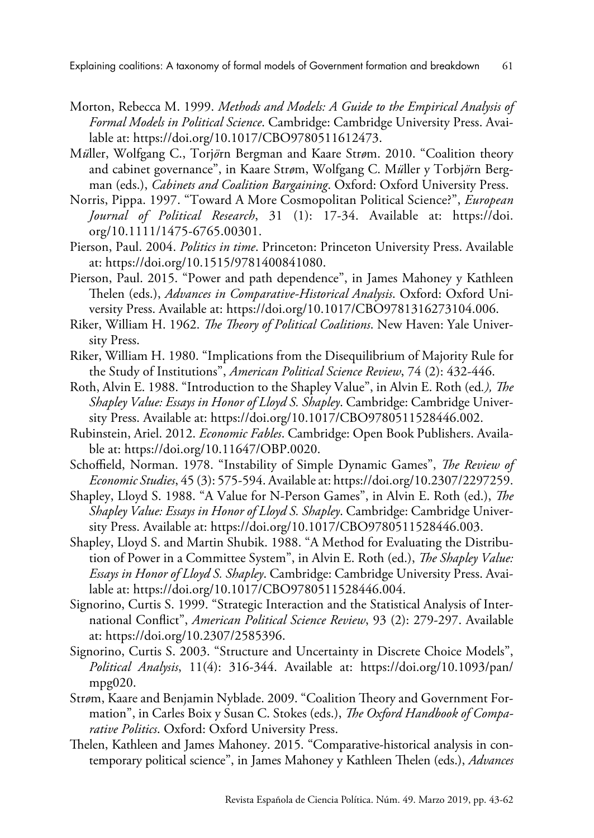- Morton, Rebecca M. 1999. *Methods and Models: A Guide to the Empirical Analysis of Formal Models in Political Science*. Cambridge: Cambridge University Press. Available at: [https://doi.org/10.1017/CBO9780511612473.](https://doi.org/10.1017/CBO9780511612473)
- M*ü*ller, Wolfgang C., Torj*ö*rn Bergman and Kaare Str*ø*m. 2010. "Coalition theory and cabinet governance", in Kaare Str*ø*m, Wolfgang C. M*ü*ller y Torbj*ö*rn Bergman (eds.), *Cabinets and Coalition Bargaining*. Oxford: Oxford University Press.
- Norris, Pippa. 1997. "Toward A More Cosmopolitan Political Science?", *European Journal of Political Research*, 31 (1): 17-34. Available at: [https://doi.](https://doi.org/10.1111/1475-6765.00301) [org/10.1111/1475-6765.00301.](https://doi.org/10.1111/1475-6765.00301)
- Pierson, Paul. 2004. *Politics in time*. Princeton: Princeton University Press. Available at: [https://doi.org/10.1515/9781400841080.](https://doi.org/10.1515/9781400841080)
- Pierson, Paul. 2015. "Power and path dependence", in James Mahoney y Kathleen Thelen (eds.), *Advances in Comparative-Historical Analysis*. Oxford: Oxford University Press. Available at: <https://doi.org/10.1017/CBO9781316273104.006>.
- Riker, William H. 1962. *The Theory of Political Coalitions*. New Haven: Yale University Press.
- Riker, William H. 1980. "Implications from the Disequilibrium of Majority Rule for the Study of Institutions", *American Political Science Review*, 74 (2): 432-446.
- Roth, Alvin E. 1988. "Introduction to the Shapley Value", in Alvin E. Roth (ed*.), The Shapley Value: Essays in Honor of Lloyd S. Shapley*. Cambridge: Cambridge University Press. Available at: [https://doi.org/10.1017/CBO9780511528446.002.](https://doi.org/10.1017/CBO9780511528446.002)
- Rubinstein, Ariel. 2012. *Economic Fables*. Cambridge: Open Book Publishers. Available at: <https://doi.org/10.11647/OBP.0020>.
- Schoffield, Norman. 1978. "Instability of Simple Dynamic Games", *The Review of Economic Studies*, 45 (3): 575-594. Available at: [https://doi.org/10.2307/2297259.](https://doi.org/10.2307/2297259)
- Shapley, Lloyd S. 1988. "A Value for N-Person Games", in Alvin E. Roth (ed.), *The Shapley Value: Essays in Honor of Lloyd S. Shapley*. Cambridge: Cambridge University Press. Available at: [https://doi.org/10.1017/CBO9780511528446.003.](https://doi.org/10.1017/CBO9780511528446.003)
- Shapley, Lloyd S. and Martin Shubik. 1988. "A Method for Evaluating the Distribution of Power in a Committee System", in Alvin E. Roth (ed.), *The Shapley Value: Essays in Honor of Lloyd S. Shapley*. Cambridge: Cambridge University Press. Available at: [https://doi.org/10.1017/CBO9780511528446.004.](https://doi.org/10.1017/CBO9780511528446.004)
- Signorino, Curtis S. 1999. "Strategic Interaction and the Statistical Analysis of International Conflict", *American Political Science Review*, 93 (2): 279-297. Available at: [https://doi.org/10.2307/2585396.](https://doi.org/10.2307/2585396)
- Signorino, Curtis S. 2003. "Structure and Uncertainty in Discrete Choice Models", *Political Analysis*, 11(4): 316-344. Available at: [https://doi.org/10.1093/pan/](https://doi.org/10.1093/pan/mpg020) [mpg020.](https://doi.org/10.1093/pan/mpg020)
- Str*ø*m, Kaare and Benjamin Nyblade. 2009. "Coalition Theory and Government Formation", in Carles Boix y Susan C. Stokes (eds.), *The Oxford Handbook of Comparative Politics*. Oxford: Oxford University Press.
- Thelen, Kathleen and James Mahoney. 2015. "Comparative-historical analysis in contemporary political science", in James Mahoney y Kathleen Thelen (eds.), *Advances*